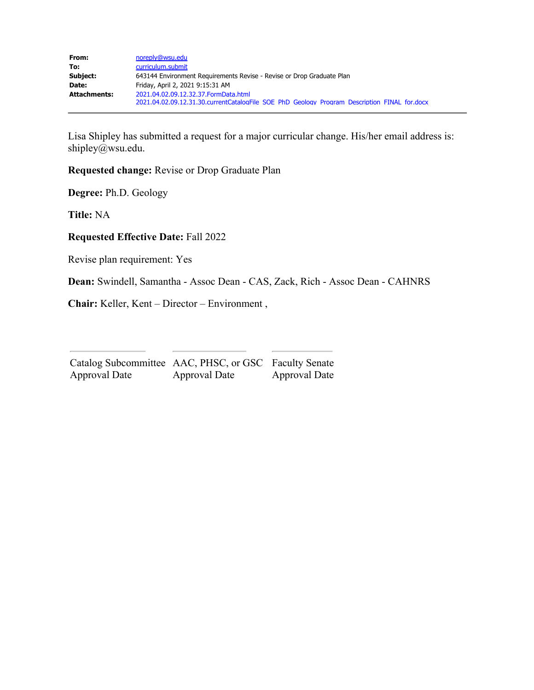| From:               | noreply@wsu.edu                                                                              |  |  |
|---------------------|----------------------------------------------------------------------------------------------|--|--|
| To:                 | curriculum.submit                                                                            |  |  |
| Subject:            | 643144 Environment Requirements Revise - Revise or Drop Graduate Plan                        |  |  |
| Date:               | Friday, April 2, 2021 9:15:31 AM                                                             |  |  |
| <b>Attachments:</b> | 2021.04.02.09.12.32.37. Form Data.html                                                       |  |  |
|                     | 2021.04.02.09.12.31.30.currentCatalogFile SOE PhD Geology Program Description FINAL for.docx |  |  |

Lisa Shipley has submitted a request for a major curricular change. His/her email address is: shipley@wsu.edu.

**Requested change:** Revise or Drop Graduate Plan

**Degree:** Ph.D. Geology

**Title:** NA

**Requested Effective Date:** Fall 2022

Revise plan requirement: Yes

**Dean:** Swindell, Samantha - Assoc Dean - CAS, Zack, Rich - Assoc Dean - CAHNRS

**Chair:** Keller, Kent – Director – Environment ,

| Catalog Subcommittee AAC, PHSC, or GSC Faculty Senate |               |                      |
|-------------------------------------------------------|---------------|----------------------|
| Approval Date                                         | Approval Date | <b>Approval Date</b> |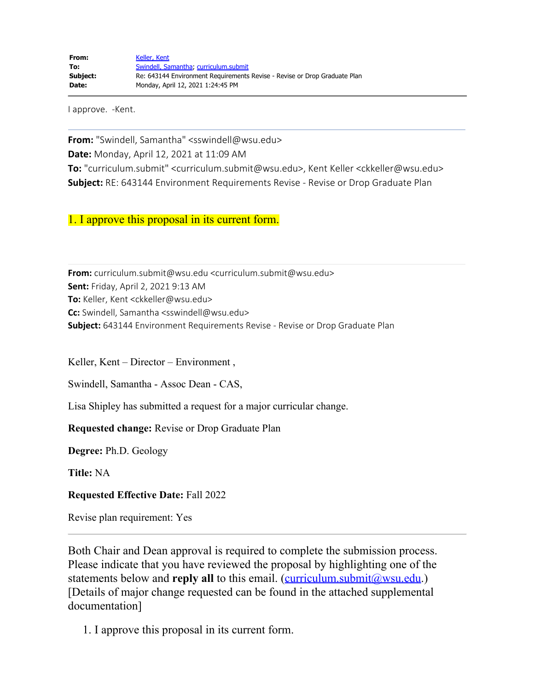I approve. -Kent.

**From:** "Swindell, Samantha" <sswindell@wsu.edu> **Date:** Monday, April 12, 2021 at 11:09 AM **To:** "curriculum.submit" <curriculum.submit@wsu.edu>, Kent Keller <ckkeller@wsu.edu> **Subject:** RE: 643144 Environment Requirements Revise - Revise or Drop Graduate Plan

1. I approve this proposal in its current form.

**From:** curriculum.submit@wsu.edu <curriculum.submit@wsu.edu> **Sent:** Friday, April 2, 2021 9:13 AM **To:** Keller, Kent <ckkeller@wsu.edu> **Cc:** Swindell, Samantha <sswindell@wsu.edu> **Subject:** 643144 Environment Requirements Revise - Revise or Drop Graduate Plan

Keller, Kent – Director – Environment ,

Swindell, Samantha - Assoc Dean - CAS,

Lisa Shipley has submitted a request for a major curricular change.

**Requested change:** Revise or Drop Graduate Plan

**Degree:** Ph.D. Geology

**Title:** NA

**Requested Effective Date:** Fall 2022

Revise plan requirement: Yes

Both Chair and Dean approval is required to complete the submission process. Please indicate that you have reviewed the proposal by highlighting one of the statements below and **reply all** to this email. [\(curriculum.submit@wsu.edu](file:////c/curriculum.submit@wsu.edu).) [Details of major change requested can be found in the attached supplemental documentation]

1. I approve this proposal in its current form.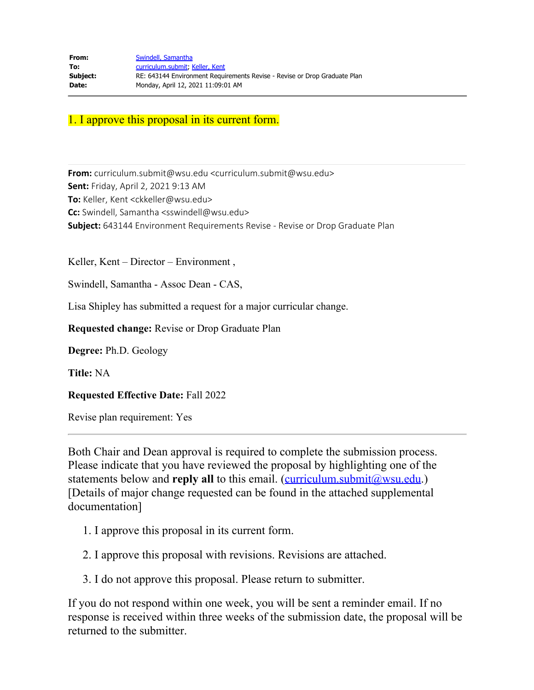### 1. I approve this proposal in its current form.

**From:** curriculum.submit@wsu.edu <curriculum.submit@wsu.edu> **Sent:** Friday, April 2, 2021 9:13 AM **To:** Keller, Kent <ckkeller@wsu.edu> **Cc:** Swindell, Samantha <sswindell@wsu.edu> **Subject:** 643144 Environment Requirements Revise - Revise or Drop Graduate Plan

Keller, Kent – Director – Environment ,

Swindell, Samantha - Assoc Dean - CAS,

Lisa Shipley has submitted a request for a major curricular change.

**Requested change:** Revise or Drop Graduate Plan

**Degree:** Ph.D. Geology

**Title:** NA

**Requested Effective Date:** Fall 2022

Revise plan requirement: Yes

Both Chair and Dean approval is required to complete the submission process. Please indicate that you have reviewed the proposal by highlighting one of the statements below and **reply all** to this email. [\(curriculum.submit@wsu.edu](file:////c/curriculum.submit@wsu.edu).) [Details of major change requested can be found in the attached supplemental documentation]

- 1. I approve this proposal in its current form.
- 2. I approve this proposal with revisions. Revisions are attached.
- 3. I do not approve this proposal. Please return to submitter.

If you do not respond within one week, you will be sent a reminder email. If no response is received within three weeks of the submission date, the proposal will be returned to the submitter.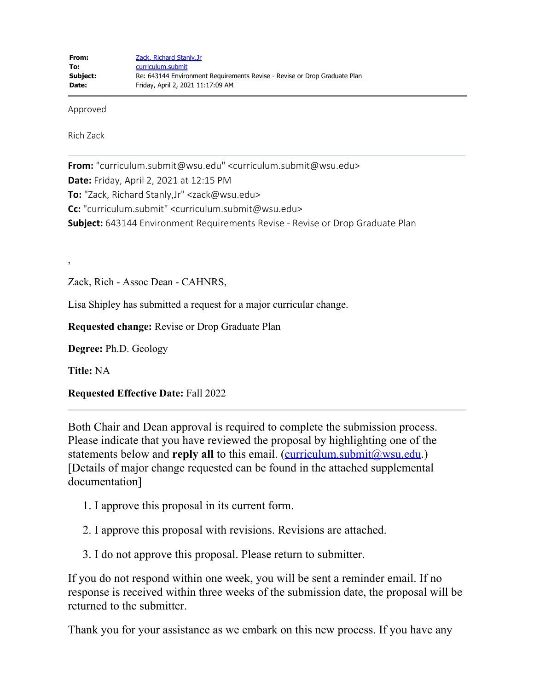Approved

Rich Zack

**From:** "curriculum.submit@wsu.edu" <curriculum.submit@wsu.edu> **Date:** Friday, April 2, 2021 at 12:15 PM **To:** "Zack, Richard Stanly,Jr" <zack@wsu.edu> **Cc:** "curriculum.submit" <curriculum.submit@wsu.edu> **Subject:** 643144 Environment Requirements Revise - Revise or Drop Graduate Plan

Zack, Rich - Assoc Dean - CAHNRS,

Lisa Shipley has submitted a request for a major curricular change.

**Requested change:** Revise or Drop Graduate Plan

**Degree:** Ph.D. Geology

**Title:** NA

,

**Requested Effective Date:** Fall 2022

Both Chair and Dean approval is required to complete the submission process. Please indicate that you have reviewed the proposal by highlighting one of the statements below and **reply all** to this email. [\(curriculum.submit@wsu.edu](file:////c/curriculum.submit@wsu.edu).) [Details of major change requested can be found in the attached supplemental documentation]

- 1. I approve this proposal in its current form.
- 2. I approve this proposal with revisions. Revisions are attached.
- 3. I do not approve this proposal. Please return to submitter.

If you do not respond within one week, you will be sent a reminder email. If no response is received within three weeks of the submission date, the proposal will be returned to the submitter.

Thank you for your assistance as we embark on this new process. If you have any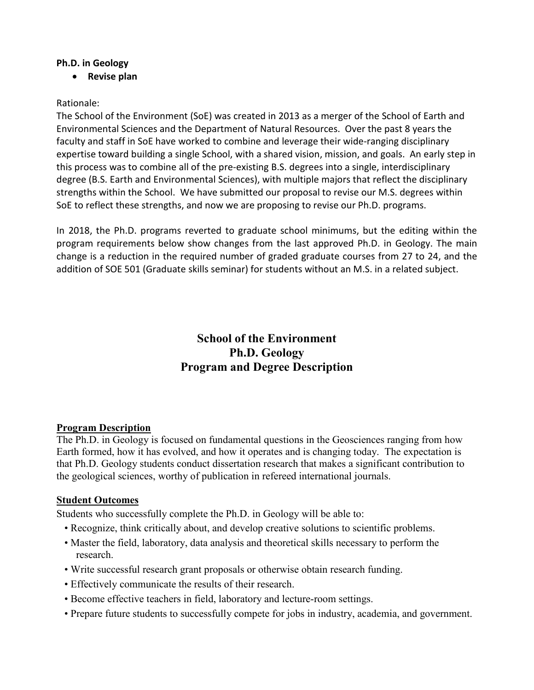#### **Ph.D. in Geology**

• **Revise plan**

#### Rationale:

The School of the Environment (SoE) was created in 2013 as a merger of the School of Earth and Environmental Sciences and the Department of Natural Resources. Over the past 8 years the faculty and staff in SoE have worked to combine and leverage their wide-ranging disciplinary expertise toward building a single School, with a shared vision, mission, and goals. An early step in this process was to combine all of the pre-existing B.S. degrees into a single, interdisciplinary degree (B.S. Earth and Environmental Sciences), with multiple majors that reflect the disciplinary strengths within the School. We have submitted our proposal to revise our M.S. degrees within SoE to reflect these strengths, and now we are proposing to revise our Ph.D. programs.

In 2018, the Ph.D. programs reverted to graduate school minimums, but the editing within the program requirements below show changes from the last approved Ph.D. in Geology. The main change is a reduction in the required number of graded graduate courses from 27 to 24, and the addition of SOE 501 (Graduate skills seminar) for students without an M.S. in a related subject.

# **School of the Environment Ph.D. Geology Program and Degree Description**

#### **Program Description**

The Ph.D. in Geology is focused on fundamental questions in the Geosciences ranging from how Earth formed, how it has evolved, and how it operates and is changing today. The expectation is that Ph.D. Geology students conduct dissertation research that makes a significant contribution to the geological sciences, worthy of publication in refereed international journals.

#### **Student Outcomes**

Students who successfully complete the Ph.D. in Geology will be able to:

- Recognize, think critically about, and develop creative solutions to scientific problems.
- Master the field, laboratory, data analysis and theoretical skills necessary to perform the research.
- Write successful research grant proposals or otherwise obtain research funding.
- Effectively communicate the results of their research.
- Become effective teachers in field, laboratory and lecture-room settings.
- Prepare future students to successfully compete for jobs in industry, academia, and government.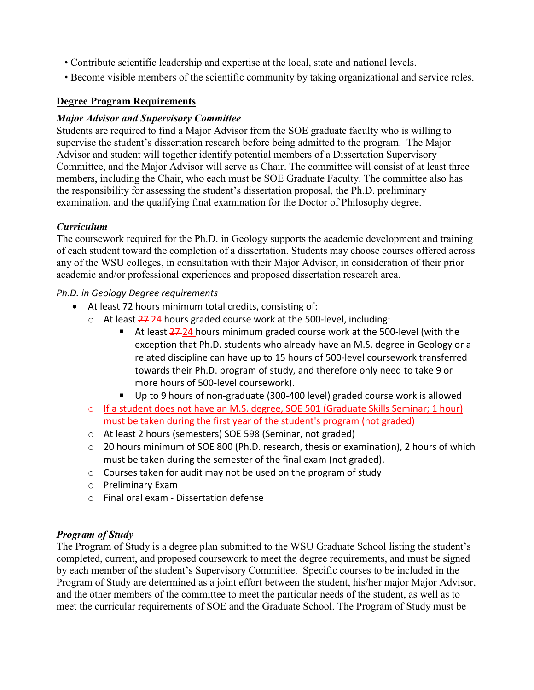- Contribute scientific leadership and expertise at the local, state and national levels.
- Become visible members of the scientific community by taking organizational and service roles.

### **Degree Program Requirements**

### *Major Advisor and Supervisory Committee*

Students are required to find a Major Advisor from the SOE graduate faculty who is willing to supervise the student's dissertation research before being admitted to the program. The Major Advisor and student will together identify potential members of a Dissertation Supervisory Committee, and the Major Advisor will serve as Chair. The committee will consist of at least three members, including the Chair, who each must be SOE Graduate Faculty. The committee also has the responsibility for assessing the student's dissertation proposal, the Ph.D. preliminary examination, and the qualifying final examination for the Doctor of Philosophy degree.

## *Curriculum*

The coursework required for the Ph.D. in Geology supports the academic development and training of each student toward the completion of a dissertation. Students may choose courses offered across any of the WSU colleges, in consultation with their Major Advisor, in consideration of their prior academic and/or professional experiences and proposed dissertation research area.

### *Ph.D. in Geology Degree requirements*

- At least 72 hours minimum total credits, consisting of:
	- $\circ$  At least  $\frac{27}{24}$  hours graded course work at the 500-level, including:
		- At least 27-24 hours minimum graded course work at the 500-level (with the exception that Ph.D. students who already have an M.S. degree in Geology or a related discipline can have up to 15 hours of 500-level coursework transferred towards their Ph.D. program of study, and therefore only need to take 9 or more hours of 500-level coursework).
		- Up to 9 hours of non-graduate (300-400 level) graded course work is allowed
	- o If a student does not have an M.S. degree, SOE 501 (Graduate Skills Seminar; 1 hour) must be taken during the first year of the student's program (not graded)
	- o At least 2 hours (semesters) SOE 598 (Seminar, not graded)
	- o 20 hours minimum of SOE 800 (Ph.D. research, thesis or examination), 2 hours of which must be taken during the semester of the final exam (not graded).
	- o Courses taken for audit may not be used on the program of study
	- o Preliminary Exam
	- o Final oral exam Dissertation defense

### *Program of Study*

The Program of Study is a degree plan submitted to the WSU Graduate School listing the student's completed, current, and proposed coursework to meet the degree requirements, and must be signed by each member of the student's Supervisory Committee. Specific courses to be included in the Program of Study are determined as a joint effort between the student, his/her major Major Advisor, and the other members of the committee to meet the particular needs of the student, as well as to meet the curricular requirements of SOE and the Graduate School. The Program of Study must be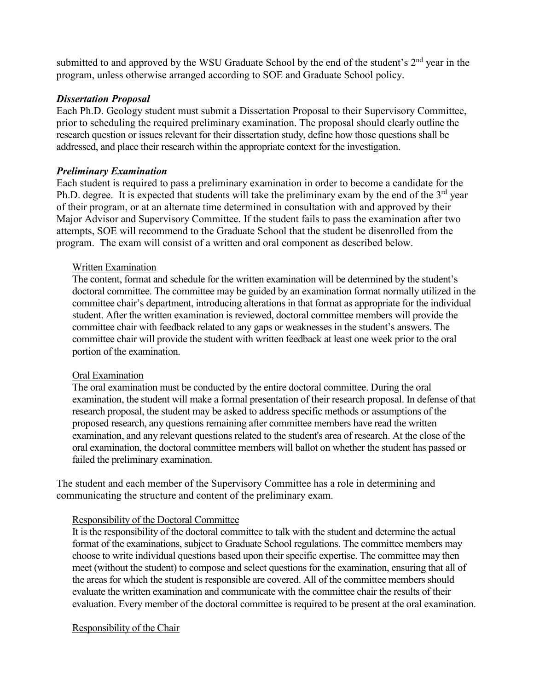submitted to and approved by the WSU Graduate School by the end of the student's  $2<sup>nd</sup>$  year in the program, unless otherwise arranged according to SOE and Graduate School policy.

#### *Dissertation Proposal*

Each Ph.D. Geology student must submit a Dissertation Proposal to their Supervisory Committee, prior to scheduling the required preliminary examination. The proposal should clearly outline the research question or issues relevant for their dissertation study, define how those questions shall be addressed, and place their research within the appropriate context for the investigation.

#### *Preliminary Examination*

Each student is required to pass a preliminary examination in order to become a candidate for the Ph.D. degree. It is expected that students will take the preliminary exam by the end of the  $3<sup>rd</sup>$  year of their program, or at an alternate time determined in consultation with and approved by their Major Advisor and Supervisory Committee. If the student fails to pass the examination after two attempts, SOE will recommend to the Graduate School that the student be disenrolled from the program. The exam will consist of a written and oral component as described below.

#### Written Examination

The content, format and schedule for the written examination will be determined by the student's doctoral committee. The committee may be guided by an examination format normally utilized in the committee chair's department, introducing alterations in that format as appropriate for the individual student. After the written examination is reviewed, doctoral committee members will provide the committee chair with feedback related to any gaps or weaknesses in the student's answers. The committee chair will provide the student with written feedback at least one week prior to the oral portion of the examination.

#### Oral Examination

The oral examination must be conducted by the entire doctoral committee. During the oral examination, the student will make a formal presentation of their research proposal. In defense of that research proposal, the student may be asked to address specific methods or assumptions of the proposed research, any questions remaining after committee members have read the written examination, and any relevant questions related to the student's area of research. At the close of the oral examination, the doctoral committee members will ballot on whether the student has passed or failed the preliminary examination.

The student and each member of the Supervisory Committee has a role in determining and communicating the structure and content of the preliminary exam.

### Responsibility of the Doctoral Committee

It is the responsibility of the doctoral committee to talk with the student and determine the actual format of the examinations, subject to Graduate School regulations. The committee members may choose to write individual questions based upon their specific expertise. The committee may then meet (without the student) to compose and select questions for the examination, ensuring that all of the areas for which the student is responsible are covered. All of the committee members should evaluate the written examination and communicate with the committee chair the results of their evaluation. Every member of the doctoral committee is required to be present at the oral examination.

#### Responsibility of the Chair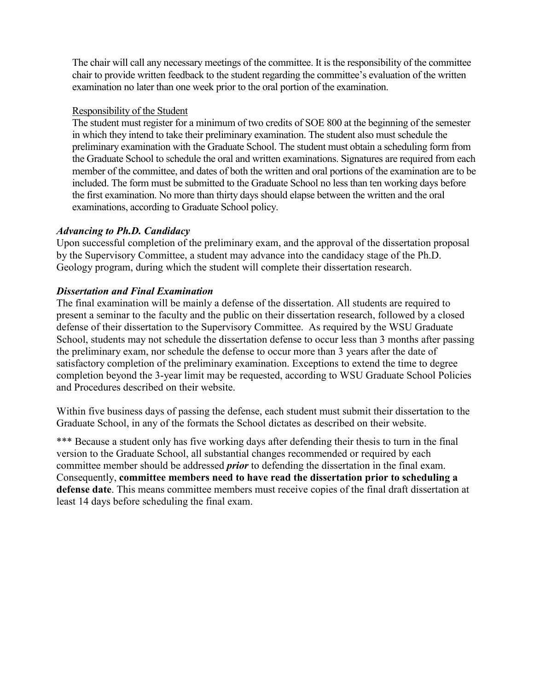The chair will call any necessary meetings of the committee. It is the responsibility of the committee chair to provide written feedback to the student regarding the committee's evaluation of the written examination no later than one week prior to the oral portion of the examination.

#### Responsibility of the Student

The student must register for a minimum of two credits of SOE 800 at the beginning of the semester in which they intend to take their preliminary examination. The student also must schedule the preliminary examination with the Graduate School. The student must obtain a scheduling form from the Graduate School to schedule the oral and written examinations. Signatures are required from each member of the committee, and dates of both the written and oral portions of the examination are to be included. The form must be submitted to the Graduate School no less than ten working days before the first examination. No more than thirty days should elapse between the written and the oral examinations, according to Graduate School policy.

### *Advancing to Ph.D. Candidacy*

Upon successful completion of the preliminary exam, and the approval of the dissertation proposal by the Supervisory Committee, a student may advance into the candidacy stage of the Ph.D. Geology program, during which the student will complete their dissertation research.

#### *Dissertation and Final Examination*

The final examination will be mainly a defense of the dissertation. All students are required to present a seminar to the faculty and the public on their dissertation research, followed by a closed defense of their dissertation to the Supervisory Committee. As required by the WSU Graduate School, students may not schedule the dissertation defense to occur less than 3 months after passing the preliminary exam, nor schedule the defense to occur more than 3 years after the date of satisfactory completion of the preliminary examination. Exceptions to extend the time to degree completion beyond the 3-year limit may be requested, according to WSU Graduate School Policies and Procedures described on their website.

Within five business days of passing the defense, each student must submit their dissertation to the Graduate School, in any of the formats the School dictates as described on their website.

\*\*\* Because a student only has five working days after defending their thesis to turn in the final version to the Graduate School, all substantial changes recommended or required by each committee member should be addressed *prior* to defending the dissertation in the final exam. Consequently, **committee members need to have read the dissertation prior to scheduling a defense date**. This means committee members must receive copies of the final draft dissertation at least 14 days before scheduling the final exam.